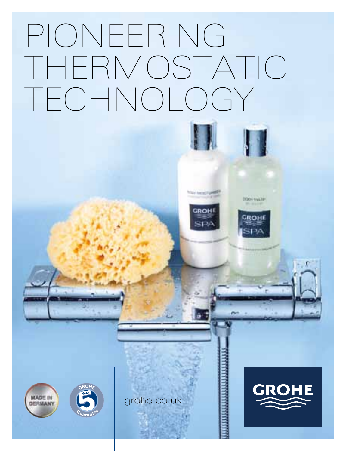# PIONEERING THERMOSTATIC TECHNOLOGY

H.

H

**Warner Area At** 





grohe.co.uk

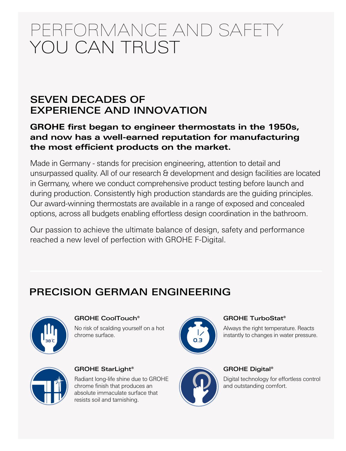# PERFORMANCE AND SAFETY YOU CAN TRUST

### SEVEN DECADES OF EXPERIENCE AND INNOVATION

### **GROHE first began to engineer thermostats in the 1950s, and now has a well-earned reputation for manufacturing the most efficient products on the market.**

Made in Germany - stands for precision engineering, attention to detail and unsurpassed quality. All of our research & development and design facilities are located in Germany, where we conduct comprehensive product testing before launch and during production. Consistently high production standards are the guiding principles. Our award-winning thermostats are available in a range of exposed and concealed options, across all budgets enabling effortless design coordination in the bathroom.

Our passion to achieve the ultimate balance of design, safety and performance reached a new level of perfection with GROHE F-Digital.

### PRECISION GERMAN ENGINEERING



GROHE CoolTouch®

No risk of scalding yourself on a hot chrome surface.



GROHE StarLight® Radiant long-life shine due to GROHE chrome finish that produces an absolute immaculate surface that resists soil and tarnishing.



#### GROHE TurboStat®

Always the right temperature. Reacts instantly to changes in water pressure.



### GROHE Digital®

Digital technology for effortless control and outstanding comfort.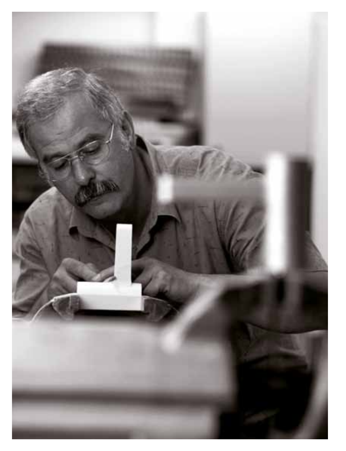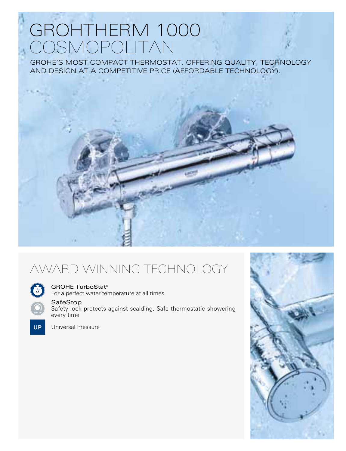# GroHtherm 1000 **OSMOPOLITAN**

GROHE's most compact thermostat. Offering quality, technology and design at a competitive price (affordable technology).

### AWARD WINNING TECHNOLOGY



#### GROHE TurboStat®

For a perfect water temperature at all times

### SafeStop

Safety lock protects against scalding. Safe thermostatic showering every time



Universal Pressure

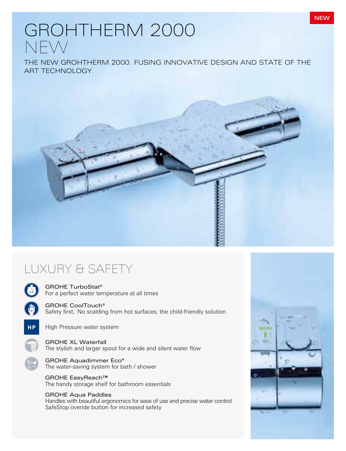### GroHtherm 2000 NEW

The NEW Grohtherm 2000. Fusing innovative design and state of the ART TECHNOLOGY



### LUXURY & SAFETY

GROHE TurboStat® For a perfect water temperature at all times

GROHE CoolTouch® Safety first. No scalding from hot surfaces; the child-friendly solution



High Pressure water system



GROHE XL Waterfall The stylish and larger spout for a wide and silent water flow

GROHE Aquadimmer Eco® The water-saving system for bath / shower

GROHE EasyReach<sup>™</sup> The handy storage shelf for bathroom essentials

#### GROHE Aqua Paddles

Handles with beautiful ergonomics for ease of use and precise water control SafeStop overide button for increased safety

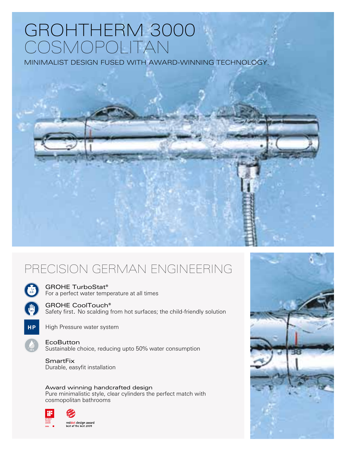## GroHtherm 3000 COSMOPOLITAN

Minimalist design fused with award-winning technology.

### PRECISION GERMAN ENGINEERING

GROHE TurboStat® For a perfect water temperature at all times

GROHE CoolTouch® Safety first. No scalding from hot surfaces; the child-friendly solution



High Pressure water system



EcoButton Sustainable choice, reducing upto 50% water consumption

SmartFix Durable, easyfit installation

Award winning handcrafted design Pure minimalistic style, clear cylinders the perfect match with cosmopolitan bathrooms



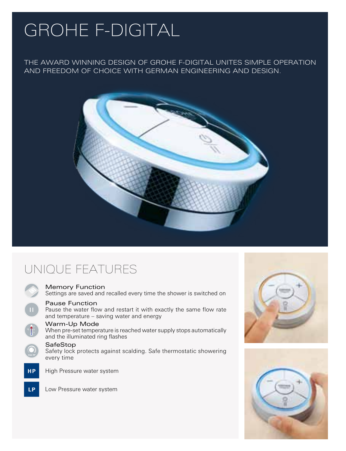# GROHE F-DIGITAL

The award winning design of GROHE F-digital unites simple operation and freedom of choice with German engineering and design.



### UNIQUE FEATURES

#### Memory Function

Settings are saved and recalled every time the shower is switched on

#### Pause Function

Pause the water flow and restart it with exactly the same flow rate and temperature – saving water and energy

#### Warm-Up Mode

When pre-set temperature is reached water supply stops automatically and the illuminated ring flashes

#### SafeStop

Safety lock protects against scalding. Safe thermostatic showering every time



High Pressure water system

LP.

Low Pressure water system